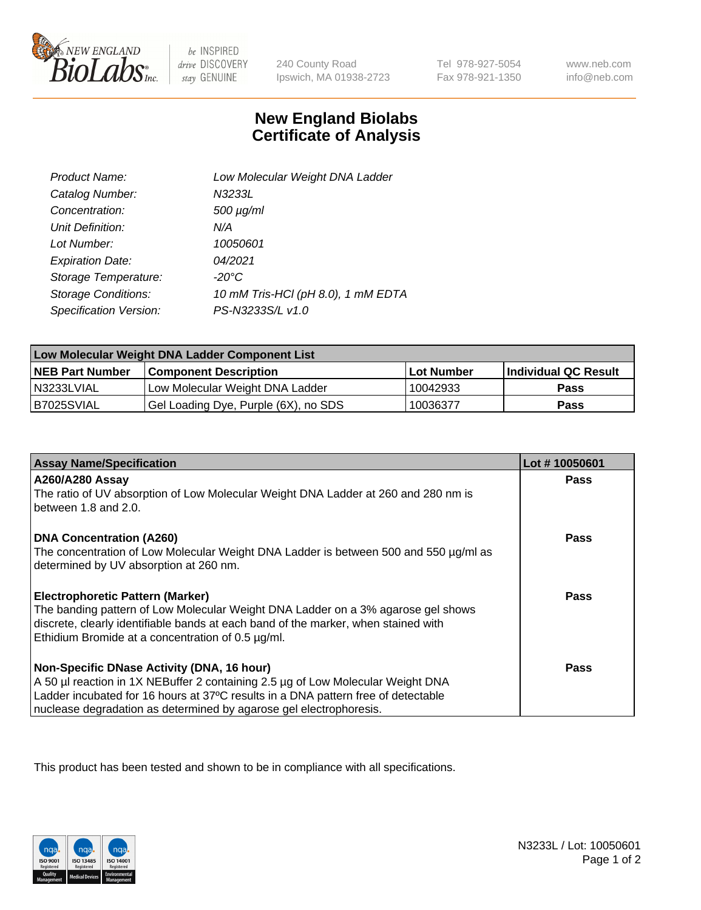

 $be$  INSPIRED drive DISCOVERY stay GENUINE

240 County Road Ipswich, MA 01938-2723 Tel 978-927-5054 Fax 978-921-1350

www.neb.com info@neb.com

## **New England Biolabs Certificate of Analysis**

| Product Name:              | Low Molecular Weight DNA Ladder    |
|----------------------------|------------------------------------|
| Catalog Number:            | N3233L                             |
| Concentration:             | $500 \mu g/ml$                     |
| Unit Definition:           | N/A                                |
| Lot Number:                | 10050601                           |
| <b>Expiration Date:</b>    | 04/2021                            |
| Storage Temperature:       | $-20^{\circ}$ C                    |
| <b>Storage Conditions:</b> | 10 mM Tris-HCl (pH 8.0), 1 mM EDTA |
| Specification Version:     | PS-N3233S/L v1.0                   |

| Low Molecular Weight DNA Ladder Component List |                                      |            |                      |  |
|------------------------------------------------|--------------------------------------|------------|----------------------|--|
| <b>NEB Part Number</b>                         | <b>Component Description</b>         | Lot Number | Individual QC Result |  |
| N3233LVIAL                                     | Low Molecular Weight DNA Ladder      | 10042933   | <b>Pass</b>          |  |
| B7025SVIAL                                     | Gel Loading Dye, Purple (6X), no SDS | 10036377   | Pass                 |  |

| <b>Assay Name/Specification</b>                                                                                                         | Lot #10050601 |
|-----------------------------------------------------------------------------------------------------------------------------------------|---------------|
| A260/A280 Assay                                                                                                                         | <b>Pass</b>   |
| The ratio of UV absorption of Low Molecular Weight DNA Ladder at 260 and 280 nm is<br>between 1.8 and 2.0.                              |               |
| <b>DNA Concentration (A260)</b>                                                                                                         | Pass          |
| The concentration of Low Molecular Weight DNA Ladder is between 500 and 550 µg/ml as<br>determined by UV absorption at 260 nm.          |               |
| <b>Electrophoretic Pattern (Marker)</b>                                                                                                 | Pass          |
| The banding pattern of Low Molecular Weight DNA Ladder on a 3% agarose gel shows                                                        |               |
| discrete, clearly identifiable bands at each band of the marker, when stained with<br>Ethidium Bromide at a concentration of 0.5 µg/ml. |               |
|                                                                                                                                         |               |
| Non-Specific DNase Activity (DNA, 16 hour)                                                                                              | Pass          |
| A 50 µl reaction in 1X NEBuffer 2 containing 2.5 µg of Low Molecular Weight DNA                                                         |               |
| Ladder incubated for 16 hours at 37°C results in a DNA pattern free of detectable                                                       |               |
| nuclease degradation as determined by agarose gel electrophoresis.                                                                      |               |

This product has been tested and shown to be in compliance with all specifications.